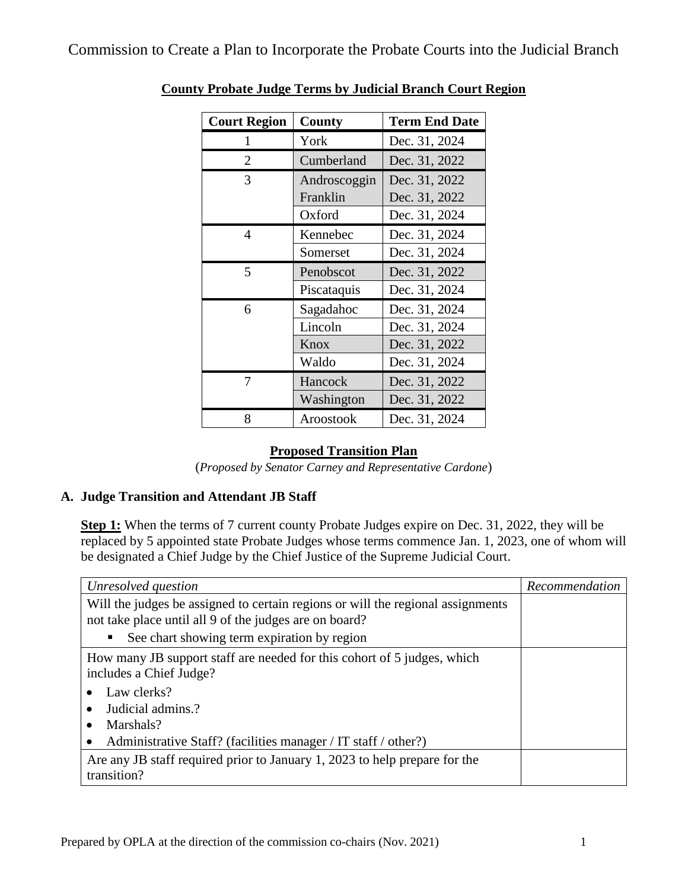| <b>Court Region</b> | County       | <b>Term End Date</b> |
|---------------------|--------------|----------------------|
| 1                   | York         | Dec. 31, 2024        |
| $\overline{2}$      | Cumberland   | Dec. 31, 2022        |
| 3                   | Androscoggin | Dec. 31, 2022        |
|                     | Franklin     | Dec. 31, 2022        |
|                     | Oxford       | Dec. 31, 2024        |
| 4                   | Kennebec     | Dec. 31, 2024        |
|                     | Somerset     | Dec. 31, 2024        |
| 5                   | Penobscot    | Dec. 31, 2022        |
|                     | Piscataquis  | Dec. 31, 2024        |
| 6                   | Sagadahoc    | Dec. 31, 2024        |
|                     | Lincoln      | Dec. 31, 2024        |
|                     | Knox         | Dec. 31, 2022        |
|                     | Waldo        | Dec. 31, 2024        |
| 7                   | Hancock      | Dec. 31, 2022        |
|                     | Washington   | Dec. 31, 2022        |
| 8                   | Aroostook    | Dec. 31, 2024        |

## **County Probate Judge Terms by Judicial Branch Court Region**

## **Proposed Transition Plan**

(*Proposed by Senator Carney and Representative Cardone*)

## **A. Judge Transition and Attendant JB Staff**

**Step 1:** When the terms of 7 current county Probate Judges expire on Dec. 31, 2022, they will be replaced by 5 appointed state Probate Judges whose terms commence Jan. 1, 2023, one of whom will be designated a Chief Judge by the Chief Justice of the Supreme Judicial Court.

| Unresolved question                                                                                | Recommendation |
|----------------------------------------------------------------------------------------------------|----------------|
| Will the judges be assigned to certain regions or will the regional assignments                    |                |
| not take place until all 9 of the judges are on board?                                             |                |
| See chart showing term expiration by region<br>п                                                   |                |
| How many JB support staff are needed for this cohort of 5 judges, which<br>includes a Chief Judge? |                |
| Law clerks?                                                                                        |                |
| Judicial admins.?                                                                                  |                |
| Marshals?                                                                                          |                |
| Administrative Staff? (facilities manager / IT staff / other?)                                     |                |
| Are any JB staff required prior to January 1, 2023 to help prepare for the<br>transition?          |                |